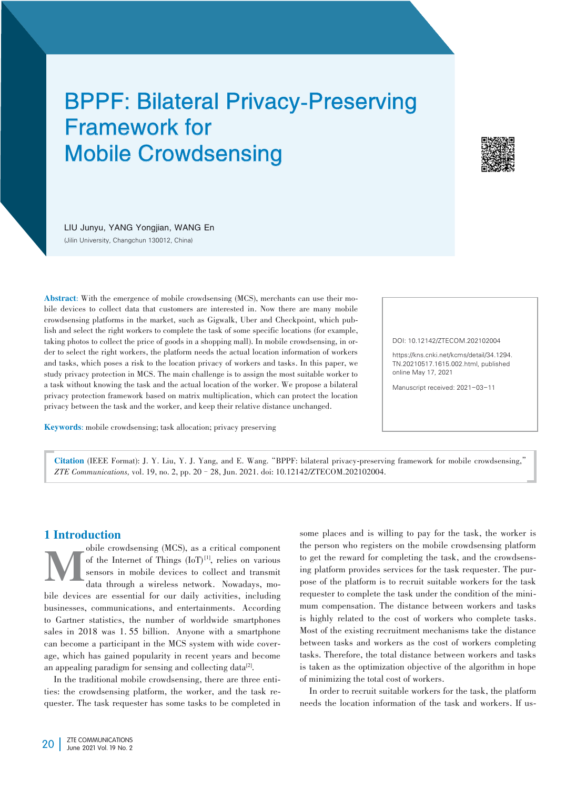# BPPF: Bilateral Privacy-Preserving Framework for Mobile Crowdsensing



LIU Junyu, YANG Yongjian, WANG En (Jilin University, Changchun 130012, China)

Abstract: With the emergence of mobile crowdsensing (MCS), merchants can use their mobile devices to collect data that customers are interested in. Now there are many mobile crowdsensing platforms in the market, such as Gigwalk, Uber and Checkpoint, which publish and select the right workers to complete the task of some specific locations (for example, taking photos to collect the price of goods in a shopping mall). In mobile crowdsensing, in order to select the right workers, the platform needs the actual location information of workers and tasks, which poses a risk to the location privacy of workers and tasks. In this paper, we study privacy protection in MCS. The main challenge is to assign the most suitable worker to a task without knowing the task and the actual location of the worker. We propose a bilateral privacy protection framework based on matrix multiplication, which can protect the location privacy between the task and the worker, and keep their relative distance unchanged.

Keywords: mobile crowdsensing; task allocation; privacy preserving

#### DOI: 10.12142/ZTECOM.202102004

https://kns.cnki.net/kcms/detail/34.1294. TN.20210517.1615.002.html, published online May 17, 2021

Manuscript received: 2021-03-11

Citation (IEEE Format): J. Y. Liu, Y. J. Yang, and E. Wang."BPPF: bilateral privacy-preserving framework for mobile crowdsensing," *ZTE Communications,* vol. 19, no. 2, pp. 20–28, Jun. 2021. doi: 10.12142/ZTECOM.202102004.

# 1 Introduction

Obile crowdsensing (MCS), as a critical component<br>of the Internet of Things (IoT)<sup>[1]</sup>, relies on various<br>sensors in mobile devices to collect and transmit<br>data through a wireless network. Nowadays, moof the Internet of Things  $(IoT)^{11}$ , relies on various sensors in mobile devices to collect and transmit data through a wireless network. Nowadays, mobile devices are essential for our daily activities, including businesses, communications, and entertainments. According to Gartner statistics, the number of worldwide smartphones sales in 2018 was 1. 55 billion. Anyone with a smartphone can become a participant in the MCS system with wide coverage, which has gained popularity in recent years and become an appealing paradigm for sensing and collecting data $^{[2]}$ .

In the traditional mobile crowdsensing, there are three entities: the crowdsensing platform, the worker, and the task requester. The task requester has some tasks to be completed in

some places and is willing to pay for the task, the worker is the person who registers on the mobile crowdsensing platform to get the reward for completing the task, and the crowdsensing platform provides services for the task requester. The purpose of the platform is to recruit suitable workers for the task requester to complete the task under the condition of the minimum compensation. The distance between workers and tasks is highly related to the cost of workers who complete tasks. Most of the existing recruitment mechanisms take the distance between tasks and workers as the cost of workers completing tasks. Therefore, the total distance between workers and tasks is taken as the optimization objective of the algorithm in hope of minimizing the total cost of workers.

In order to recruit suitable workers for the task, the platform needs the location information of the task and workers. If us-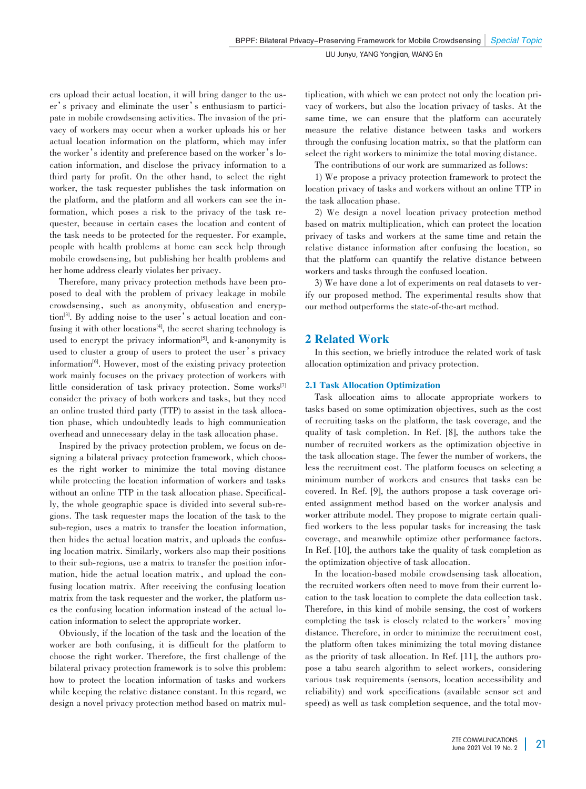ers upload their actual location, it will bring danger to the user's privacy and eliminate the user's enthusiasm to participate in mobile crowdsensing activities. The invasion of the privacy of workers may occur when a worker uploads his or her actual location information on the platform, which may infer the worker's identity and preference based on the worker's location information, and disclose the privacy information to a third party for profit. On the other hand, to select the right worker, the task requester publishes the task information on the platform, and the platform and all workers can see the information, which poses a risk to the privacy of the task requester, because in certain cases the location and content of the task needs to be protected for the requester. For example, people with health problems at home can seek help through mobile crowdsensing, but publishing her health problems and her home address clearly violates her privacy.

Therefore, many privacy protection methods have been proposed to deal with the problem of privacy leakage in mobile crowdsensing, such as anonymity, obfuscation and encryption<sup>[3]</sup>. By adding noise to the user's actual location and confusing it with other  $locations<sup>[4]</sup>$ , the secret sharing technology is used to encrypt the privacy information<sup>[5]</sup>, and k-anonymity is used to cluster a group of users to protect the user's privacy information<sup>[6]</sup>. However, most of the existing privacy protection work mainly focuses on the privacy protection of workers with little consideration of task privacy protection. Some works<sup>[7]</sup> consider the privacy of both workers and tasks, but they need an online trusted third party (TTP) to assist in the task allocation phase, which undoubtedly leads to high communication overhead and unnecessary delay in the task allocation phase.

Inspired by the privacy protection problem, we focus on designing a bilateral privacy protection framework, which chooses the right worker to minimize the total moving distance while protecting the location information of workers and tasks without an online TTP in the task allocation phase. Specifically, the whole geographic space is divided into several sub-re⁃ gions. The task requester maps the location of the task to the sub-region, uses a matrix to transfer the location information, then hides the actual location matrix, and uploads the confusing location matrix. Similarly, workers also map their positions to their sub-regions, use a matrix to transfer the position information, hide the actual location matrix, and upload the confusing location matrix. After receiving the confusing location matrix from the task requester and the worker, the platform uses the confusing location information instead of the actual location information to select the appropriate worker.

Obviously, if the location of the task and the location of the worker are both confusing, it is difficult for the platform to choose the right worker. Therefore, the first challenge of the bilateral privacy protection framework is to solve this problem: how to protect the location information of tasks and workers while keeping the relative distance constant. In this regard, we design a novel privacy protection method based on matrix multiplication, with which we can protect not only the location privacy of workers, but also the location privacy of tasks. At the same time, we can ensure that the platform can accurately measure the relative distance between tasks and workers through the confusing location matrix, so that the platform can select the right workers to minimize the total moving distance.

The contributions of our work are summarized as follows:

1) We propose a privacy protection framework to protect the location privacy of tasks and workers without an online TTP in the task allocation phase.

2) We design a novel location privacy protection method based on matrix multiplication, which can protect the location privacy of tasks and workers at the same time and retain the relative distance information after confusing the location, so that the platform can quantify the relative distance between workers and tasks through the confused location.

3) We have done a lot of experiments on real datasets to verify our proposed method. The experimental results show that our method outperforms the state-of-the-art method.

## 2 Related Work

In this section, we briefly introduce the related work of task allocation optimization and privacy protection.

## 2.1 Task Allocation Optimization

Task allocation aims to allocate appropriate workers to tasks based on some optimization objectives, such as the cost of recruiting tasks on the platform, the task coverage, and the quality of task completion. In Ref. [8], the authors take the number of recruited workers as the optimization objective in the task allocation stage. The fewer the number of workers, the less the recruitment cost. The platform focuses on selecting a minimum number of workers and ensures that tasks can be covered. In Ref. [9], the authors propose a task coverage oriented assignment method based on the worker analysis and worker attribute model. They propose to migrate certain qualified workers to the less popular tasks for increasing the task coverage, and meanwhile optimize other performance factors. In Ref. [10], the authors take the quality of task completion as the optimization objective of task allocation.

In the location-based mobile crowdsensing task allocation, the recruited workers often need to move from their current location to the task location to complete the data collection task. Therefore, in this kind of mobile sensing, the cost of workers completing the task is closely related to the workers'moving distance. Therefore, in order to minimize the recruitment cost, the platform often takes minimizing the total moving distance as the priority of task allocation. In Ref. [11], the authors propose a tabu search algorithm to select workers, considering various task requirements (sensors, location accessibility and reliability) and work specifications (available sensor set and speed) as well as task completion sequence, and the total mov-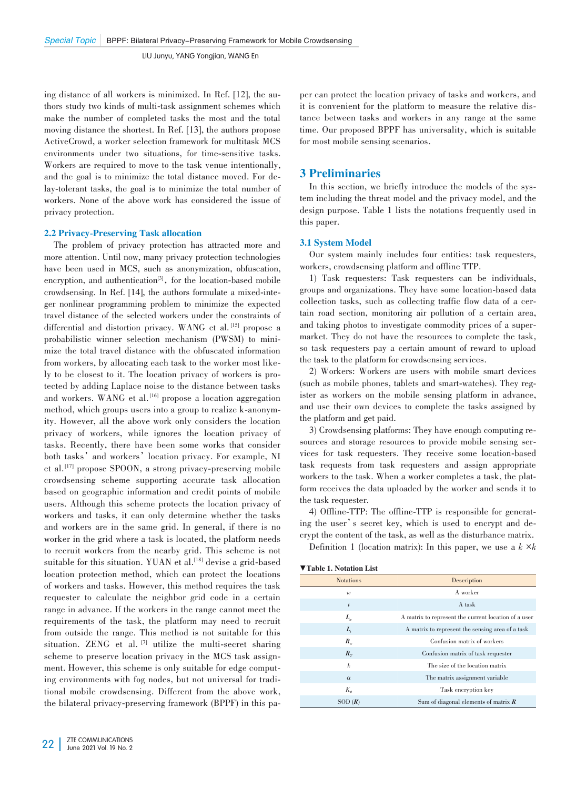ing distance of all workers is minimized. In Ref. [12], the authors study two kinds of multi-task assignment schemes which make the number of completed tasks the most and the total moving distance the shortest. In Ref. [13], the authors propose ActiveCrowd, a worker selection framework for multitask MCS environments under two situations, for time-sensitive tasks. Workers are required to move to the task venue intentionally, and the goal is to minimize the total distance moved. For delay-tolerant tasks, the goal is to minimize the total number of workers. None of the above work has considered the issue of privacy protection.

## 2.2 Privacy-Preserving Task allocation

The problem of privacy protection has attracted more and more attention. Until now, many privacy protection technologies have been used in MCS, such as anonymization, obfuscation, encryption, and authentication<sup>[3]</sup>, for the location-based mobile crowdsensing. In Ref. [14], the authors formulate a mixed-integer nonlinear programming problem to minimize the expected travel distance of the selected workers under the constraints of differential and distortion privacy. WANG et al.<sup>[15]</sup> propose a probabilistic winner selection mechanism (PWSM) to minimize the total travel distance with the obfuscated information from workers, by allocating each task to the worker most likely to be closest to it. The location privacy of workers is protected by adding Laplace noise to the distance between tasks and workers. WANG et al. [16] propose a location aggregation method, which groups users into a group to realize k-anonymity. However, all the above work only considers the location privacy of workers, while ignores the location privacy of tasks. Recently, there have been some works that consider both tasks' and workers' location privacy. For example, NI et al. [17] propose SPOON, a strong privacy-preserving mobile crowdsensing scheme supporting accurate task allocation based on geographic information and credit points of mobile users. Although this scheme protects the location privacy of workers and tasks, it can only determine whether the tasks and workers are in the same grid. In general, if there is no worker in the grid where a task is located, the platform needs to recruit workers from the nearby grid. This scheme is not suitable for this situation. YUAN et al. [18] devise a grid-based location protection method, which can protect the locations of workers and tasks. However, this method requires the task requester to calculate the neighbor grid code in a certain range in advance. If the workers in the range cannot meet the requirements of the task, the platform may need to recruit from outside the range. This method is not suitable for this situation. ZENG et al. [7] utilize the multi-secret sharing scheme to preserve location privacy in the MCS task assignment. However, this scheme is only suitable for edge computing environments with fog nodes, but not universal for traditional mobile crowdsensing. Different from the above work, the bilateral privacy-preserving framework (BPPF) in this pa-

per can protect the location privacy of tasks and workers, and it is convenient for the platform to measure the relative distance between tasks and workers in any range at the same time. Our proposed BPPF has universality, which is suitable for most mobile sensing scenarios.

## 3 Preliminaries

In this section, we briefly introduce the models of the system including the threat model and the privacy model, and the design purpose. Table 1 lists the notations frequently used in this paper.

## 3.1 System Model

Our system mainly includes four entities: task requesters, workers, crowdsensing platform and offline TTP.

1) Task requesters: Task requesters can be individuals, groups and organizations. They have some location-based data collection tasks, such as collecting traffic flow data of a certain road section, monitoring air pollution of a certain area, and taking photos to investigate commodity prices of a supermarket. They do not have the resources to complete the task, so task requesters pay a certain amount of reward to upload the task to the platform for crowdsensing services.

2) Workers: Workers are users with mobile smart devices (such as mobile phones, tablets and smart-watches). They register as workers on the mobile sensing platform in advance, and use their own devices to complete the tasks assigned by the platform and get paid.

3) Crowdsensing platforms: They have enough computing re⁃ sources and storage resources to provide mobile sensing services for task requesters. They receive some location-based task requests from task requesters and assign appropriate workers to the task. When a worker completes a task, the platform receives the data uploaded by the worker and sends it to the task requester.

4) Offline-TTP: The offline-TTP is responsible for generating the user's secret key, which is used to encrypt and decrypt the content of the task, as well as the disturbance matrix.

Definition 1 (location matrix): In this paper, we use a  $k \times k$ 

| <b>Notations</b> | Description                                          |
|------------------|------------------------------------------------------|
| $\boldsymbol{w}$ | A worker                                             |
| $\iota$          | A task                                               |
| $L_{w}$          | A matrix to represent the current location of a user |
| L,               | A matrix to represent the sensing area of a task     |
| $R_{\mu}$        | Confusion matrix of workers                          |
| $R_{\tau}$       | Confusion matrix of task requester                   |
| k                | The size of the location matrix                      |
| $\alpha$         | The matrix assignment variable                       |
| $K_{\mu}$        | Task encryption key                                  |
| SOD(R)           | Sum of diagonal elements of matrix $R$               |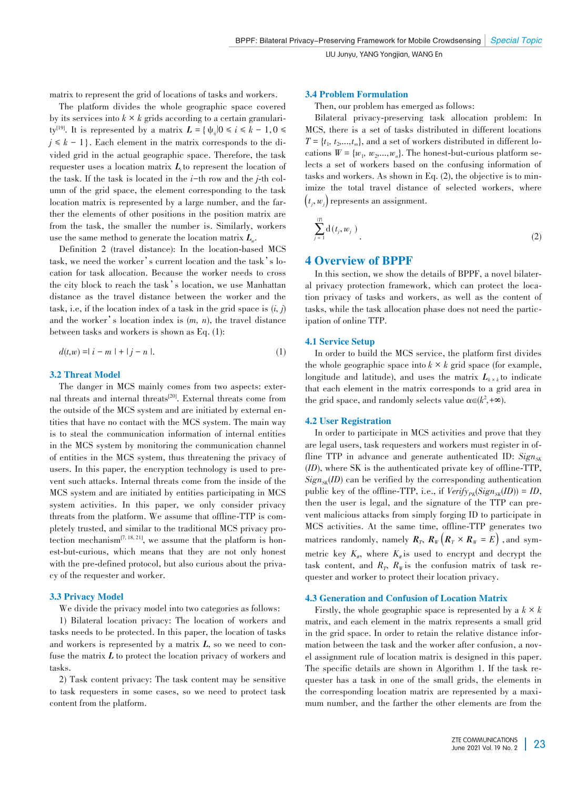matrix to represent the grid of locations of tasks and workers.

The platform divides the whole geographic space covered by its services into  $k \times k$  grids according to a certain granularity<sup>[19]</sup>. It is represented by a matrix  $L = \{ \psi_{ij} | 0 \le i \le k - 1, 0 \le j \le k - 1 \}$  $j \leq k - 1$ . Each element in the matrix corresponds to the divided grid in the actual geographic space. Therefore, the task requester uses a location matrix  $L_t$  to represent the location of the task. If the task is located in the *i*-th row and the *j*-th column of the grid space, the element corresponding to the task location matrix is represented by a large number, and the farther the elements of other positions in the position matrix are from the task, the smaller the number is. Similarly, workers use the same method to generate the location matrix  $L_w$ .

Definition 2 (travel distance): In the location-based MCS task, we need the worker's current location and the task's location for task allocation. Because the worker needs to cross the city block to reach the task's location, we use Manhattan distance as the travel distance between the worker and the task, i.e, if the location index of a task in the grid space is  $(i, j)$ and the worker's location index is (*m, n*), the travel distance between tasks and workers is shown as Eq. (1):

$$
d(t, w) = |i - m| + |j - n|.
$$
 (1)

## 3.2 Threat Model

The danger in MCS mainly comes from two aspects: external threats and internal threats<sup>[20]</sup>. External threats come from the outside of the MCS system and are initiated by external entities that have no contact with the MCS system. The main way is to steal the communication information of internal entities in the MCS system by monitoring the communication channel of entities in the MCS system, thus threatening the privacy of users. In this paper, the encryption technology is used to prevent such attacks. Internal threats come from the inside of the MCS system and are initiated by entities participating in MCS system activities. In this paper, we only consider privacy threats from the platform. We assume that offline-TTP is completely trusted, and similar to the traditional MCS privacy pro⁃ tection mechanism<sup>[7, 18, 21]</sup>, we assume that the platform is honest-but-curious, which means that they are not only honest with the pre-defined protocol, but also curious about the privacy of the requester and worker.

## 3.3 Privacy Model

We divide the privacy model into two categories as follows:

1) Bilateral location privacy: The location of workers and tasks needs to be protected. In this paper, the location of tasks and workers is represented by a matrix L, so we need to confuse the matrix *L* to protect the location privacy of workers and tasks.

2) Task content privacy: The task content may be sensitive to task requesters in some cases, so we need to protect task content from the platform.

### 3.4 Problem Formulation

Then, our problem has emerged as follows:

Bilateral privacy-preserving task allocation problem: In MCS, there is a set of tasks distributed in different locations  $T = \{t_1, t_2, \ldots, t_m\}$ , and a set of workers distributed in different locations  $W = \{w_1, w_2, \ldots, w_n\}$ . The honest-but-curious platform selects a set of workers based on the confusing information of tasks and workers. As shown in Eq. (2), the objective is to minimize the total travel distance of selected workers, where  $(t_j, w_j)$  represents an assignment.

$$
\sum_{j=1}^{\lfloor T \rfloor} \mathrm{d}(t_j, w_j) \tag{2}
$$

## 4 Overview of BPPF

In this section, we show the details of BPPF, a novel bilateral privacy protection framework, which can protect the location privacy of tasks and workers, as well as the content of tasks, while the task allocation phase does not need the participation of online TTP.

## 4.1 Service Setup

In order to build the MCS service, the platform first divides the whole geographic space into  $k \times k$  grid space (for example, longitude and latitude), and uses the matrix  $L_{k \times k}$  to indicate that each element in the matrix corresponds to a grid area in the grid space, and randomly selects value  $\alpha \in (k^2, +\infty)$ .

## 4.2 User Registration

In order to participate in MCS activities and prove that they are legal users, task requesters and workers must register in offline TTP in advance and generate authenticated ID:  $Sign_{SK}$ (*ID*), where SK is the authenticated private key of offline-TTP,  $Sign_{SK}(ID)$  can be verified by the corresponding authentication public key of the offline-TTP, i.e., if  $Verify_{PK}(Sign_{SK}(ID)) = ID$ , then the user is legal, and the signature of the TTP can prevent malicious attacks from simply forging ID to participate in MCS activities. At the same time, offline-TTP generates two matrices randomly, namely  $R_T$ ,  $R_W(R_T \times R_W = E)$ , and symmetric key  $K_{\mu}$ , where  $K_{\mu}$  is used to encrypt and decrypt the task content, and  $R_T$ ,  $R_W$  is the confusion matrix of task requester and worker to protect their location privacy.

## 4.3 Generation and Confusion of Location Matrix

Firstly, the whole geographic space is represented by a  $k \times k$ matrix, and each element in the matrix represents a small grid in the grid space. In order to retain the relative distance information between the task and the worker after confusion, a novel assignment rule of location matrix is designed in this paper. The specific details are shown in Algorithm 1. If the task requester has a task in one of the small grids, the elements in the corresponding location matrix are represented by a maximum number, and the farther the other elements are from the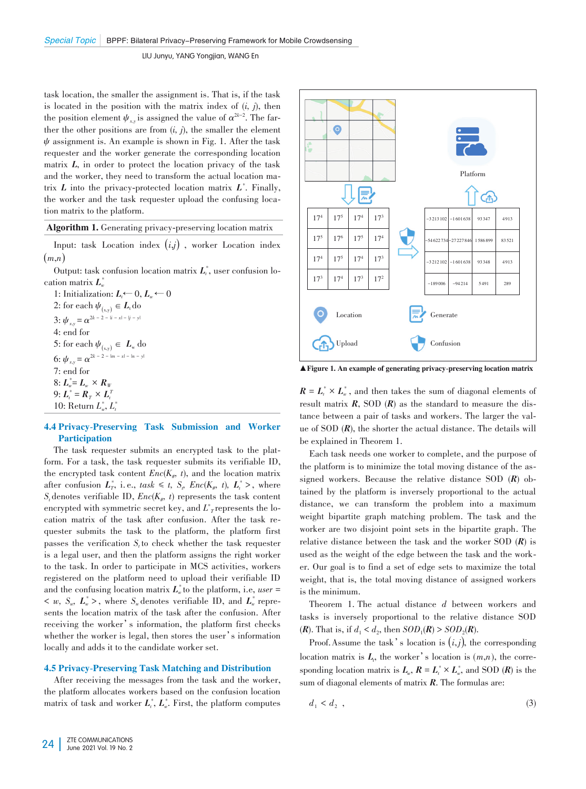task location, the smaller the assignment is. That is, if the task is located in the position with the matrix index of  $(i, j)$ , then the position element  $\psi_{xy}$  is assigned the value of  $\alpha^{2k-2}$ . The farther the other positions are from  $(i, j)$ , the smaller the element  $\psi$  assignment is. An example is shown in Fig. 1. After the task requester and the worker generate the corresponding location matrix *L*, in order to protect the location privacy of the task and the worker, they need to transform the actual location matrix *L* into the privacy-protected location matrix *L\** . Finally, the worker and the task requester upload the confusing location matrix to the platform.

Algorithm 1. Generating privacy-preserving location matrix

Input: task Location index (*i*,*j*) , worker Location index  $(m,n)$ 

Output: task confusion location matrix  $L_t^*$ , user confusion location matrix *L\* w*

1: Initialization:  $L_t \leftarrow 0, L_w \leftarrow 0$ 2: for each  $\psi_{(x,y)} \in L_t$  do 3:  $\psi_{x,y} = \alpha^{2k-2-|i-x|-|j-y|}$ 4: end for 5: for each  $\psi_{(x,y)} \in L_w$  do 6:  $\psi_{x,y} = \alpha^{2k-2 - |m-x| - |n-y|}$ 7: end for  $8: L_w^* = L_w \times R_w$ 9:  $L_i^* = R_T \times L_i^T$ 10: Return  $L^*_{w}$ ,  $L^*_{t}$ 

## 4.4 Privacy-Preserving Task Submission and Worker **Participation**

The task requester submits an encrypted task to the platform. For a task, the task requester submits its verifiable ID, the encrypted task content  $Enc(K_{\#}, t)$ , and the location matrix after confusion  $L^*_T$ , i.e.,  $task \leq t$ ,  $S_t$ ,  $Enc(K_*, t)$ ,  $L^*_t$ , where  $S_t$  denotes verifiable ID,  $Enc(K_{\#}, t)$  represents the task content encrypted with symmetric secret key, and  $L^*$ <sub>*T*</sub> represents the location matrix of the task after confusion. After the task requester submits the task to the platform, the platform first passes the verification  $S_t$  to check whether the task requester is a legal user, and then the platform assigns the right worker to the task. In order to participate in MCS activities, workers registered on the platform need to upload their verifiable ID and the confusing location matrix  $L^*_{w}$  to the platform, i.e, *user* =  $\langle w, S_w, L^*_{w} \rangle$ , where  $S_w$  denotes verifiable ID, and  $L^*_{w}$  represents the location matrix of the task after the confusion. After receiving the worker's information, the platform first checks whether the worker is legal, then stores the user's information locally and adds it to the candidate worker set.

## 4.5 Privacy-Preserving Task Matching and Distribution

After receiving the messages from the task and the worker, the platform allocates workers based on the confusion location matrix of task and worker  $L_i^*$ ,  $L_i^*$ . First, the platform computes



▲Figure 1. An example of generating privacy-preserving location matrix

 $R = L_t^* \times L_w^*$ , and then takes the sum of diagonal elements of result matrix  $R$ , SOD  $(R)$  as the standard to measure the distance between a pair of tasks and workers. The larger the value of SOD (*R*), the shorter the actual distance. The details will be explained in Theorem 1.

Each task needs one worker to complete, and the purpose of the platform is to minimize the total moving distance of the assigned workers. Because the relative distance SOD  $(R)$  obtained by the platform is inversely proportional to the actual distance, we can transform the problem into a maximum weight bipartite graph matching problem. The task and the worker are two disjoint point sets in the bipartite graph. The relative distance between the task and the worker SOD (*R*) is used as the weight of the edge between the task and the worker. Our goal is to find a set of edge sets to maximize the total weight, that is, the total moving distance of assigned workers is the minimum.

Theorem 1. The actual distance *d* between workers and tasks is inversely proportional to the relative distance SOD (*R*). That is, if  $d_1 < d_2$ , then  $SOD_1(R) > SOD_2(R)$ .

Proof. Assume the task's location is  $(i, j)$ , the corresponding location matrix is  $L_t$ , the worker's location is  $(m,n)$ , the corresponding location matrix is  $L_w$ ,  $R = L_t^* \times L_w^*$ , and SOD (*R*) is the sum of diagonal elements of matrix *R*. The formulas are:

$$
d_1 < d_2 \tag{3}
$$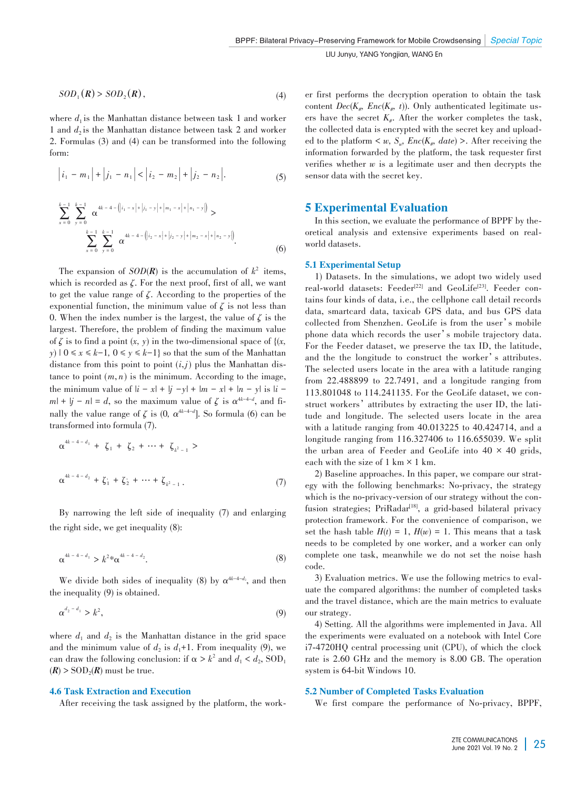$$
SOD_1(R) > SOD_2(R), \tag{4}
$$

where  $d_1$  is the Manhattan distance between task 1 and worker 1 and  $d_2$  is the Manhattan distance between task 2 and worker 2. Formulas (3) and (4) can be transformed into the following form:

$$
\left| i_1 - m_1 \right| + \left| j_1 - n_1 \right| < \left| i_2 - m_2 \right| + \left| j_2 - n_2 \right| \tag{5}
$$

$$
\sum_{x=0}^{k-1} \sum_{y=0}^{k-1} \alpha^{4k-4-\left(|i_1 - x| + |j_1 - y| + |m_1 - x| + |n_1 - y|\right)} > \n\sum_{x=0}^{k-1} \sum_{y=0}^{k-1} \alpha^{4k-4-\left(|i_2 - x| + |j_2 - y| + |m_2 - x| + |n_2 - y|\right)}.
$$
\n(6)

The expansion of  $SOD(R)$  is the accumulation of  $k^2$  items, which is recorded as *ζ*. For the next proof, first of all, we want to get the value range of *ζ*. According to the properties of the exponential function, the minimum value of  $\zeta$  is not less than 0. When the index number is the largest, the value of  $\zeta$  is the largest. Therefore, the problem of finding the maximum value of  $\zeta$  is to find a point  $(x, y)$  in the two-dimensional space of  $\{x, y\}$ *y*)  $|0 \le x \le k-1, 0 \le y \le k-1$ } so that the sum of the Manhattan distance from this point to point  $(i, j)$  plus the Manhattan distance to point  $(m, n)$  is the minimum. According to the image, the minimum value of  $|i - x| + |j - y| + |m - x| + |n - y|$  is  $|i$  $m| + |j - n| = d$ , so the maximum value of  $\zeta$  is  $\alpha^{4k-4-d}$ , and finally the value range of  $\zeta$  is (0*,*  $\alpha^{4k-4-d}$ ). So formula (6) can be transformed into formula (7).

$$
\alpha^{4k-4-d_1} + \zeta_1 + \zeta_2 + \cdots + \zeta_{k^2-1} >
$$
  

$$
\alpha^{4k-4-d_2} + \zeta_1 + \zeta_2 + \cdots + \zeta_{k^2-1}.
$$
  
(7)

By narrowing the left side of inequality (7) and enlarging the right side, we get inequality (8):

$$
\alpha^{4k-4-d_1} > k^{2} \alpha^{4k-4-d_2}.
$$
 (8)

We divide both sides of inequality (8) by  $\alpha^{4k-4-d_2}$ , and then the inequality (9) is obtained.

$$
\alpha^{d_2 - d_1} > k^2,\tag{9}
$$

where  $d_1$  and  $d_2$  is the Manhattan distance in the grid space and the minimum value of  $d_2$  is  $d_1+1$ . From inequality (9), we can draw the following conclusion: if  $\alpha > k^2$  and  $d_1 < d_2$ , SOD<sub>1</sub>  $(R)$  > SOD<sub>2</sub>( $R$ ) must be true.

## 4.6 Task Extraction and Execution

After receiving the task assigned by the platform, the work—

er first performs the decryption operation to obtain the task content  $Dec(K_{#}, Enc(K_{#}, t))$ . Only authenticated legitimate users have the secret  $K_{#}$ . After the worker completes the task, the collected data is encrypted with the secret key and uploaded to the platform  $\lt w$ ,  $S_w$ ,  $Enc(K_w, date) >$ . After receiving the information forwarded by the platform, the task requester first verifies whether *w* is a legitimate user and then decrypts the sensor data with the secret key.

## 5 Experimental Evaluation

In this section, we evaluate the performance of BPPF by theoretical analysis and extensive experiments based on realworld datasets.

## 5.1 Experimental Setup

1) Datasets. In the simulations, we adopt two widely used real-world datasets: Feeder<sup>[22]</sup> and GeoLife<sup>[23]</sup>. Feeder contains four kinds of data, i.e., the cellphone call detail records data, smartcard data, taxicab GPS data, and bus GPS data collected from Shenzhen. GeoLife is from the user's mobile phone data which records the user's mobile trajectory data. For the Feeder dataset, we preserve the tax ID, the latitude, and the the longitude to construct the worker's attributes. The selected users locate in the area with a latitude ranging from 22.488899 to 22.7491, and a longitude ranging from 113.801048 to 114.241135. For the GeoLife dataset, we construct workers' attributes by extracting the user ID, the latitude and longitude. The selected users locate in the area with a latitude ranging from 40.013225 to 40.424714, and a longitude ranging from 116.327406 to 116.655039. We split the urban area of Feeder and GeoLife into  $40 \times 40$  grids, each with the size of  $1 \text{ km} \times 1 \text{ km}$ .

2) Baseline approaches. In this paper, we compare our strategy with the following benchmarks: No-privacy, the strategy which is the no-privacy-version of our strategy without the confusion strategies; PriRadar<sup>[18]</sup>, a grid-based bilateral privacy protection framework. For the convenience of comparison, we set the hash table  $H(t) = 1$ ,  $H(w) = 1$ . This means that a task needs to be completed by one worker, and a worker can only complete one task, meanwhile we do not set the noise hash code.

3) Evaluation metrics. We use the following metrics to evaluate the compared algorithms: the number of completed tasks and the travel distance, which are the main metrics to evaluate our strategy.

4) Setting. All the algorithms were implemented in Java. All the experiments were evaluated on a notebook with Intel Core i7-4720HQ central processing unit (CPU), of which the clock rate is 2.60 GHz and the memory is 8.00 GB. The operation system is 64-bit Windows 10.

### 5.2 Number of Completed Tasks Evaluation

We first compare the performance of No-privacy, BPPF,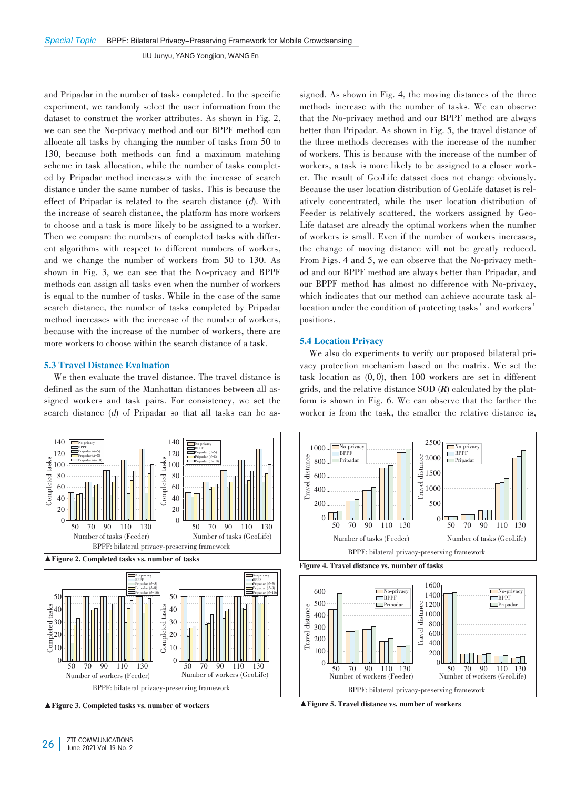and Pripadar in the number of tasks completed. In the specific experiment, we randomly select the user information from the dataset to construct the worker attributes. As shown in Fig. 2, we can see the No-privacy method and our BPPF method can allocate all tasks by changing the number of tasks from 50 to 130, because both methods can find a maximum matching scheme in task allocation, while the number of tasks completed by Pripadar method increases with the increase of search distance under the same number of tasks. This is because the effect of Pripadar is related to the search distance (d). With the increase of search distance, the platform has more workers to choose and a task is more likely to be assigned to a worker. Then we compare the numbers of completed tasks with different algorithms with respect to different numbers of workers, and we change the number of workers from 50 to 130. As shown in Fig. 3, we can see that the No-privacy and BPPF methods can assign all tasks even when the number of workers is equal to the number of tasks. While in the case of the same search distance, the number of tasks completed by Pripadar method increases with the increase of the number of workers, because with the increase of the number of workers, there are more workers to choose within the search distance of a task.

### 5.3 Travel Distance Evaluation

We then evaluate the travel distance. The travel distance is defined as the sum of the Manhattan distances between all assigned workers and task pairs. For consistency, we set the search distance (d) of Pripadar so that all tasks can be as-







▲Figure 3. Completed tasks vs. number of workers

signed. As shown in Fig. 4, the moving distances of the three methods increase with the number of tasks. We can observe that the No-privacy method and our BPPF method are always better than Pripadar. As shown in Fig. 5, the travel distance of the three methods decreases with the increase of the number of workers. This is because with the increase of the number of workers, a task is more likely to be assigned to a closer worker. The result of GeoLife dataset does not change obviously. Because the user location distribution of GeoLife dataset is relatively concentrated, while the user location distribution of Feeder is relatively scattered, the workers assigned by Geo-Life dataset are already the optimal workers when the number of workers is small. Even if the number of workers increases, the change of moving distance will not be greatly reduced. From Figs. 4 and 5, we can observe that the No-privacy method and our BPPF method are always better than Pripadar, and our BPPF method has almost no difference with No-privacy, which indicates that our method can achieve accurate task allocation under the condition of protecting tasks' and workers' positions.

#### 5.4 Location Privacy

We also do experiments to verify our proposed bilateral privacy protection mechanism based on the matrix. We set the task location as (0, 0), then 100 workers are set in different grids, and the relative distance SOD  $(R)$  calculated by the platform is shown in Fig. 6. We can observe that the farther the worker is from the task, the smaller the relative distance is,



Figure 4. Travel distance vs. number of tasks



▲ Figure 5. Travel distance vs. number of workers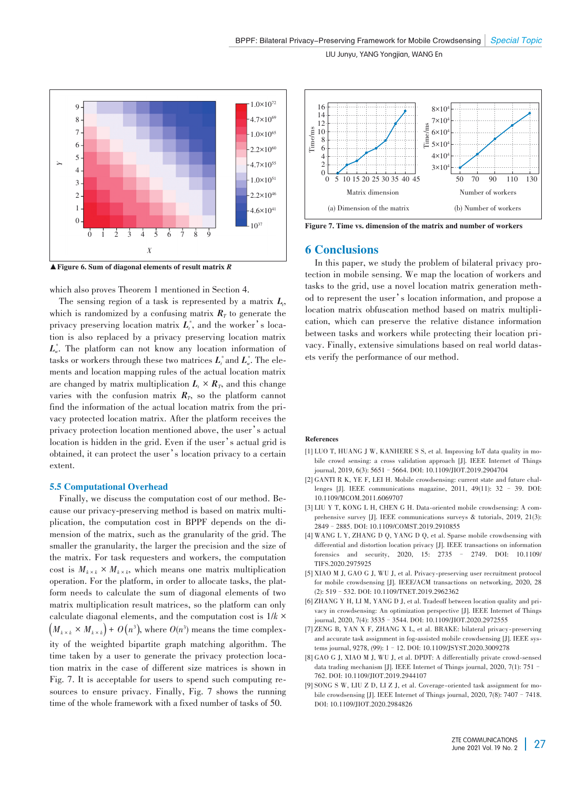

▲Figure 6. Sum of diagonal elements of result matrix *R*

which also proves Theorem 1 mentioned in Section 4.

The sensing region of a task is represented by a matrix *L<sup>t</sup>* , which is randomized by a confusing matrix  $R<sub>T</sub>$  to generate the privacy preserving location matrix  $L_t^*$ , and the worker's location is also replaced by a privacy preserving location matrix *L\* <sup>w</sup>*. The platform can not know any location information of tasks or workers through these two matrices  $L_t^*$  and  $L_{w}^*$ . The elements and location mapping rules of the actual location matrix are changed by matrix multiplication  $L_t \times R_T$ , and this change varies with the confusion matrix  $R_T$ , so the platform cannot find the information of the actual location matrix from the privacy protected location matrix. After the platform receives the privacy protection location mentioned above, the user's actual location is hidden in the grid. Even if the user's actual grid is obtained, it can protect the user's location privacy to a certain extent.

## 5.5 Computational Overhead

Finally, we discuss the computation cost of our method. Because our privacy-preserving method is based on matrix multiplication, the computation cost in BPPF depends on the dimension of the matrix, such as the granularity of the grid. The smaller the granularity, the larger the precision and the size of the matrix. For task requesters and workers, the computation cost is  $M_{k \times k} \times M_{k \times k}$ , which means one matrix multiplication operation. For the platform, in order to allocate tasks, the platform needs to calculate the sum of diagonal elements of two matrix multiplication result matrices, so the platform can only calculate diagonal elements, and the computation cost is 1/*k* ×  $\left(M_{k\times k}\times M_{k\times k}\right) +$   $O\!\left(n^3\right)$ , where  $O\!\left(n^3\right)$  means the time complexity of the weighted bipartite graph matching algorithm. The time taken by a user to generate the privacy protection location matrix in the case of different size matrices is shown in Fig. 7. It is acceptable for users to spend such computing resources to ensure privacy. Finally, Fig. 7 shows the running time of the whole framework with a fixed number of tasks of 50.



Figure 7. Time vs. dimension of the matrix and number of workers

## 6 Conclusions

In this paper, we study the problem of bilateral privacy protection in mobile sensing. We map the location of workers and tasks to the grid, use a novel location matrix generation method to represent the user's location information, and propose a location matrix obfuscation method based on matrix multiplication, which can preserve the relative distance information between tasks and workers while protecting their location privacy. Finally, extensive simulations based on real world datasets verify the performance of our method.

#### References

- [1] LUO T, HUANG J W, KANHERE S S, et al. Improving IoT data quality in mobile crowd sensing: a cross validation approach [J]. IEEE Internet of Things journal, 2019, 6(3): 5651–5664. DOI: 10.1109/JIOT.2019.2904704
- [2] GANTI R K, YE F, LEI H. Mobile crowdsensing: current state and future challenges [J]. IEEE communications magazine, 2011, 49(11): 32 – 39. DOI: 10.1109/MCOM.2011.6069707
- [3] LIU Y T, KONG L H, CHEN G H. Data-oriented mobile crowdsensing: A comprehensive survey [J]. IEEE communications surveys & tutorials, 2019, 21(3): 2849–2885. DOI: 10.1109/COMST.2019.2910855
- [4] WANG L Y, ZHANG D Q, YANG D Q, et al. Sparse mobile crowdsensing with differential and distortion location privacy [J]. IEEE transactions on information forensics and security, 2020, 15: 2735 - 2749. DOI: 10.1109/ forensics and security,  $2020$ ,  $15: 2735$  -TIFS.2020.2975925
- [5] XIAO M J, GAO G J, WU J, et al. Privacy-preserving user recruitment protocol for mobile crowdsensing [J]. IEEE/ACM transactions on networking, 2020, 28 (2): 519–532. DOI: 10.1109/TNET.2019.2962362
- [6] ZHANG Y H, LI M, YANG D J, et al. Tradeoff between location quality and privacy in crowdsensing: An optimization perspective [J]. IEEE Internet of Things journal, 2020, 7(4): 3535–3544. DOI: 10.1109/JIOT.2020.2972555
- [7] ZENG B, YAN X F, ZHANG X L, et al. BRAKE: bilateral privacy-preserving and accurate task assignment in fog-assisted mobile crowdsensing [J]. IEEE systems journal, 9278, (99): 1–12. DOI: 10.1109/JSYST.2020.3009278
- [8] GAO G J, XIAO M J, WU J, et al. DPDT: A differentially private crowd-sensed data trading mechanism [J]. IEEE Internet of Things journal, 2020, 7(1): 751– 762. DOI: 10.1109/JIOT.2019.2944107
- [9] SONG S W, LIU Z D, LI Z J, et al. Coverage-oriented task assignment for mobile crowdsensing [J]. IEEE Internet of Things journal, 2020, 7(8): 7407–7418. DOI: 10.1109/JIOT.2020.2984826